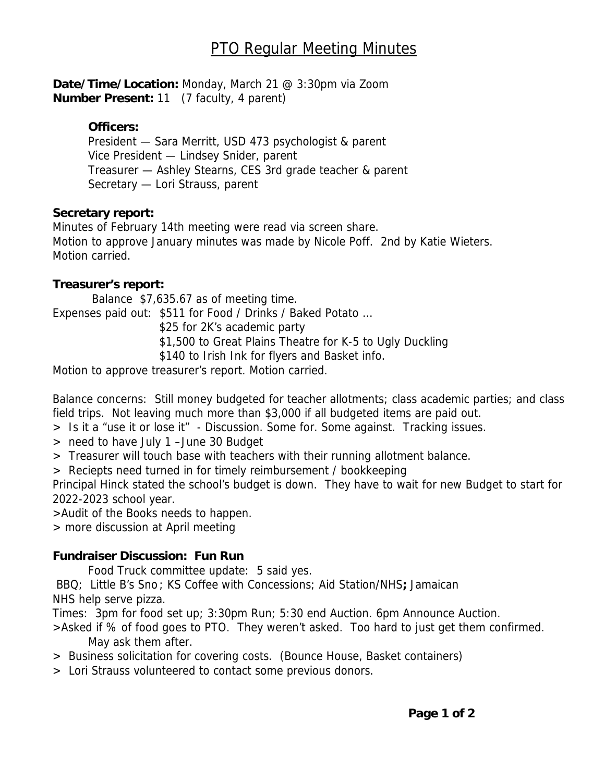**Date/Time/Location:** Monday, March 21 @ 3:30pm via Zoom **Number Present:** 11 (7 faculty, 4 parent)

# **Officers:**

President — Sara Merritt, USD 473 psychologist & parent Vice President — Lindsey Snider, parent Treasurer — Ashley Stearns, CES 3rd grade teacher & parent Secretary — Lori Strauss, parent

#### **Secretary report:**

Minutes of February 14th meeting were read via screen share. Motion to approve January minutes was made by Nicole Poff. 2nd by Katie Wieters. Motion carried.

# **Treasurer's report:**

 Balance \$7,635.67 as of meeting time. Expenses paid out: \$511 for Food / Drinks / Baked Potato … \$25 for 2K's academic party \$1,500 to Great Plains Theatre for K-5 to Ugly Duckling \$140 to Irish Ink for flyers and Basket info.

Motion to approve treasurer's report. Motion carried.

Balance concerns: Still money budgeted for teacher allotments; class academic parties; and class field trips. Not leaving much more than \$3,000 if all budgeted items are paid out.

- > Is it a "use it or lose it" Discussion. Some for. Some against. Tracking issues.
- > need to have July 1 –June 30 Budget
- > Treasurer will touch base with teachers with their running allotment balance.

> Reciepts need turned in for timely reimbursement / bookkeeping

Principal Hinck stated the school's budget is down. They have to wait for new Budget to start for 2022-2023 school year.

>Audit of the Books needs to happen.

> more discussion at April meeting

# **Fundraiser Discussion: Fun Run**

Food Truck committee update: 5 said yes.

BBQ; Little B's Sno ; KS Coffee with Concessions; Aid Station/NHS**;** Jamaican

NHS help serve pizza.

Times: 3pm for food set up; 3:30pm Run; 5:30 end Auction. 6pm Announce Auction.

>Asked if % of food goes to PTO. They weren't asked. Too hard to just get them confirmed. May ask them after.

- > Business solicitation for covering costs. (Bounce House, Basket containers)
- > Lori Strauss volunteered to contact some previous donors.